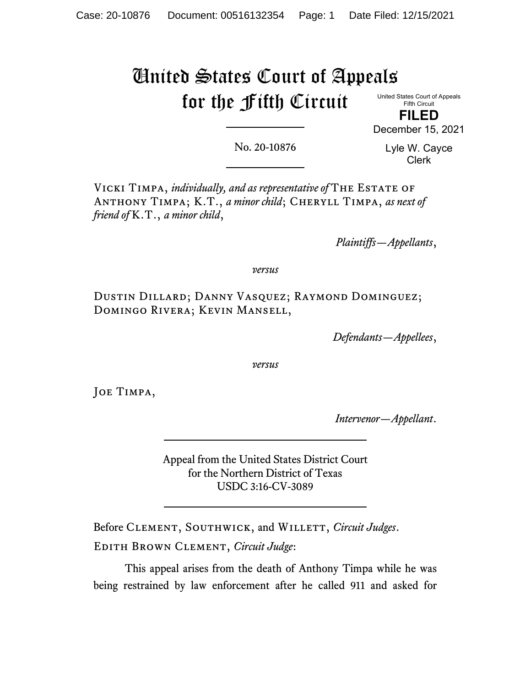# United States Court of Appeals for the Fifth Circuit

United States Court of Appeals Fifth Circuit

**FILED** December 15, 2021

No. 20-10876

Lyle W. Cayce Clerk

Vicki Timpa, *individually, and as representative of* The Estate of ANTHONY TIMPA; K.T., *a minor child*; CHERYLL TIMPA, *as next of friend of* K.T., *a minor child*,

*Plaintiffs—Appellants*,

*versus*

Dustin Dillard; Danny Vasquez; Raymond Dominguez; Domingo Rivera; Kevin Mansell,

*Defendants—Appellees*,

*versus*

Joe Timpa,

*Intervenor—Appellant*.

Appeal from the United States District Court for the Northern District of Texas USDC 3:16-CV-3089

Before CLEMENT, SOUTHWICK, and WILLETT, *Circuit Judges*. Edith Brown Clement, *Circuit Judge*:

This appeal arises from the death of Anthony Timpa while he was being restrained by law enforcement after he called 911 and asked for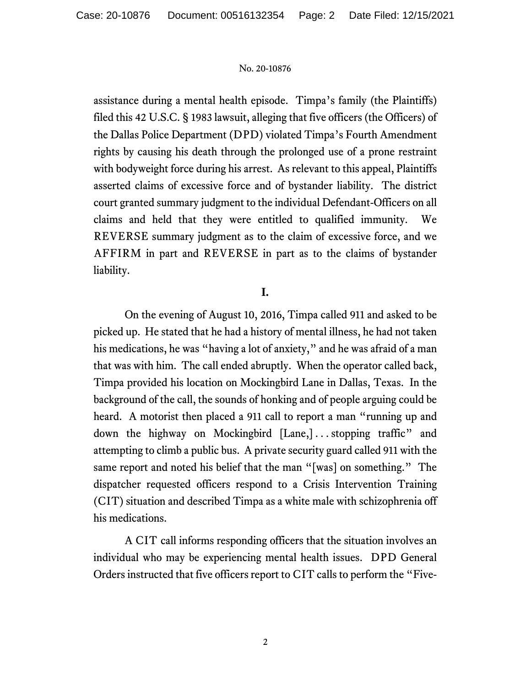assistance during a mental health episode. Timpa's family (the Plaintiffs) filed this 42 U.S.C. § 1983 lawsuit, alleging that five officers (the Officers) of the Dallas Police Department (DPD) violated Timpa's Fourth Amendment rights by causing his death through the prolonged use of a prone restraint with bodyweight force during his arrest. As relevant to this appeal, Plaintiffs asserted claims of excessive force and of bystander liability. The district court granted summary judgment to the individual Defendant-Officers on all claims and held that they were entitled to qualified immunity. We REVERSE summary judgment as to the claim of excessive force, and we AFFIRM in part and REVERSE in part as to the claims of bystander liability.

# **I.**

On the evening of August 10, 2016, Timpa called 911 and asked to be picked up. He stated that he had a history of mental illness, he had not taken his medications, he was "having a lot of anxiety," and he was afraid of a man that was with him. The call ended abruptly. When the operator called back, Timpa provided his location on Mockingbird Lane in Dallas, Texas. In the background of the call, the sounds of honking and of people arguing could be heard. A motorist then placed a 911 call to report a man "running up and down the highway on Mockingbird [Lane,] . . . stopping traffic" and attempting to climb a public bus. A private security guard called 911 with the same report and noted his belief that the man "[was] on something." The dispatcher requested officers respond to a Crisis Intervention Training (CIT) situation and described Timpa as a white male with schizophrenia off his medications.

A CIT call informs responding officers that the situation involves an individual who may be experiencing mental health issues. DPD General Orders instructed that five officers report to CIT calls to perform the "Five-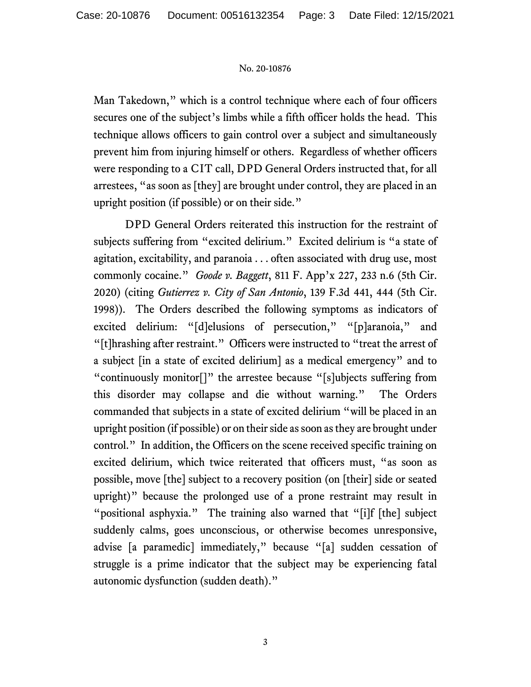Man Takedown," which is a control technique where each of four officers secures one of the subject's limbs while a fifth officer holds the head. This technique allows officers to gain control over a subject and simultaneously prevent him from injuring himself or others. Regardless of whether officers were responding to a CIT call, DPD General Orders instructed that, for all arrestees, "as soon as [they] are brought under control, they are placed in an upright position (if possible) or on their side."

DPD General Orders reiterated this instruction for the restraint of subjects suffering from "excited delirium." Excited delirium is "a state of agitation, excitability, and paranoia . . . often associated with drug use, most commonly cocaine." *Goode v. Baggett*, 811 F. App'x 227, 233 n.6 (5th Cir. 2020) (citing *Gutierrez v. City of San Antonio*, 139 F.3d 441, 444 (5th Cir. 1998)).The Orders described the following symptoms as indicators of excited delirium: "[d]elusions of persecution," "[p]aranoia," and "[t]hrashing after restraint." Officers were instructed to "treat the arrest of a subject [in a state of excited delirium] as a medical emergency" and to "continuously monitor[]" the arrestee because "[s]ubjects suffering from this disorder may collapse and die without warning." The Orders commanded that subjects in a state of excited delirium "will be placed in an upright position (if possible) or on their side as soon as they are brought under control." In addition, the Officers on the scene received specific training on excited delirium, which twice reiterated that officers must, "as soon as possible, move [the] subject to a recovery position (on [their] side or seated upright)" because the prolonged use of a prone restraint may result in "positional asphyxia." The training also warned that "[i]f [the] subject suddenly calms, goes unconscious, or otherwise becomes unresponsive, advise [a paramedic] immediately," because "[a] sudden cessation of struggle is a prime indicator that the subject may be experiencing fatal autonomic dysfunction (sudden death)."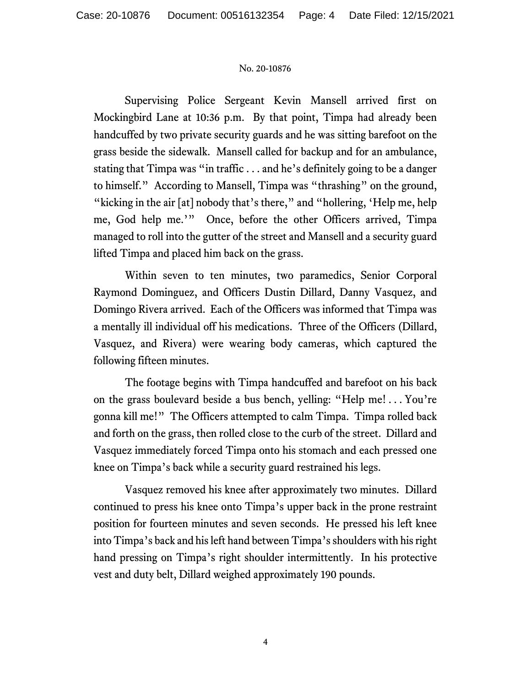Supervising Police Sergeant Kevin Mansell arrived first on Mockingbird Lane at 10:36 p.m. By that point, Timpa had already been handcuffed by two private security guards and he was sitting barefoot on the grass beside the sidewalk. Mansell called for backup and for an ambulance, stating that Timpa was "in traffic . . . and he's definitely going to be a danger to himself." According to Mansell, Timpa was "thrashing" on the ground, "kicking in the air [at] nobody that's there," and "hollering, 'Help me, help me, God help me.'" Once, before the other Officers arrived, Timpa managed to roll into the gutter of the street and Mansell and a security guard lifted Timpa and placed him back on the grass.

Within seven to ten minutes, two paramedics, Senior Corporal Raymond Dominguez, and Officers Dustin Dillard, Danny Vasquez, and Domingo Rivera arrived. Each of the Officers was informed that Timpa was a mentally ill individual off his medications. Three of the Officers (Dillard, Vasquez, and Rivera) were wearing body cameras, which captured the following fifteen minutes.

The footage begins with Timpa handcuffed and barefoot on his back on the grass boulevard beside a bus bench, yelling: "Help me! . . . You're gonna kill me!" The Officers attempted to calm Timpa. Timpa rolled back and forth on the grass, then rolled close to the curb of the street. Dillard and Vasquez immediately forced Timpa onto his stomach and each pressed one knee on Timpa's back while a security guard restrained his legs.

Vasquez removed his knee after approximately two minutes. Dillard continued to press his knee onto Timpa's upper back in the prone restraint position for fourteen minutes and seven seconds. He pressed his left knee into Timpa's back and his left hand between Timpa's shoulders with his right hand pressing on Timpa's right shoulder intermittently. In his protective vest and duty belt, Dillard weighed approximately 190 pounds.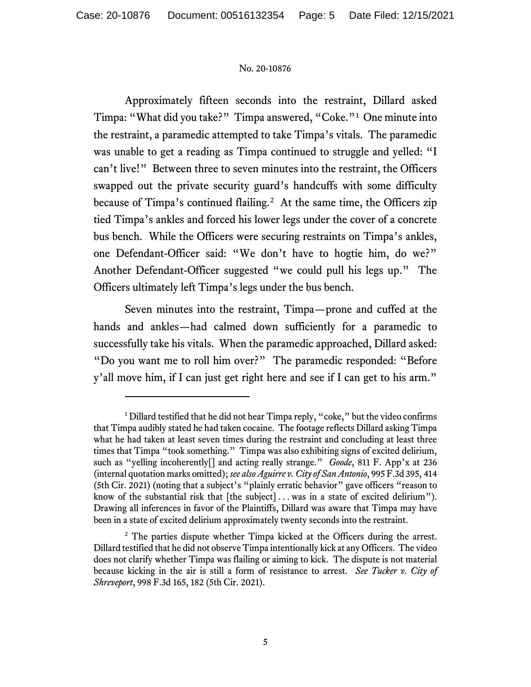Approximately fifteen seconds into the restraint, Dillard asked Timpa: "What did you take?" Timpa answered, "Coke."[1](#page-4-0) One minute into the restraint, a paramedic attempted to take Timpa's vitals. The paramedic was unable to get a reading as Timpa continued to struggle and yelled: "I can't live!" Between three to seven minutes into the restraint, the Officers swapped out the private security guard's handcuffs with some difficulty because of Timpa's continued flailing.<sup>2</sup> At the same time, the Officers zip tied Timpa's ankles and forced his lower legs under the cover of a concrete bus bench. While the Officers were securing restraints on Timpa's ankles, one Defendant-Officer said: "We don't have to hogtie him, do we?" Another Defendant-Officer suggested "we could pull his legs up." The Officers ultimately left Timpa's legs under the bus bench.

Seven minutes into the restraint, Timpa—prone and cuffed at the hands and ankles—had calmed down sufficiently for a paramedic to successfully take his vitals. When the paramedic approached, Dillard asked: "Do you want me to roll him over?" The paramedic responded: "Before y'all move him, if I can just get right here and see if I can get to his arm."

<span id="page-4-0"></span><sup>&</sup>lt;sup>1</sup> Dillard testified that he did not hear Timpa reply, "coke," but the video confirms that Timpa audibly stated he had taken cocaine. The footage reflects Dillard asking Timpa what he had taken at least seven times during the restraint and concluding at least three times that Timpa "took something." Timpa was also exhibiting signs of excited delirium, such as "yelling incoherently[] and acting really strange." *Goode*, 811 F. App'x at 236 (internal quotation marks omitted); *see also Aguirre v. City of San Antonio*, 995 F.3d 395, 414 (5th Cir. 2021) (noting that a subject's "plainly erratic behavior" gave officers "reason to know of the substantial risk that  $[the subject] \ldots$  was in a state of excited delirium"). Drawing all inferences in favor of the Plaintiffs, Dillard was aware that Timpa may have been in a state of excited delirium approximately twenty seconds into the restraint.

<span id="page-4-1"></span><sup>&</sup>lt;sup>2</sup> The parties dispute whether Timpa kicked at the Officers during the arrest. Dillard testified that he did not observe Timpa intentionally kick at any Officers. The video does not clarify whether Timpa was flailing or aiming to kick. The dispute is not material because kicking in the air is still a form of resistance to arrest. *See Tucker v. City of Shreveport*, 998 F.3d 165, 182 (5th Cir. 2021).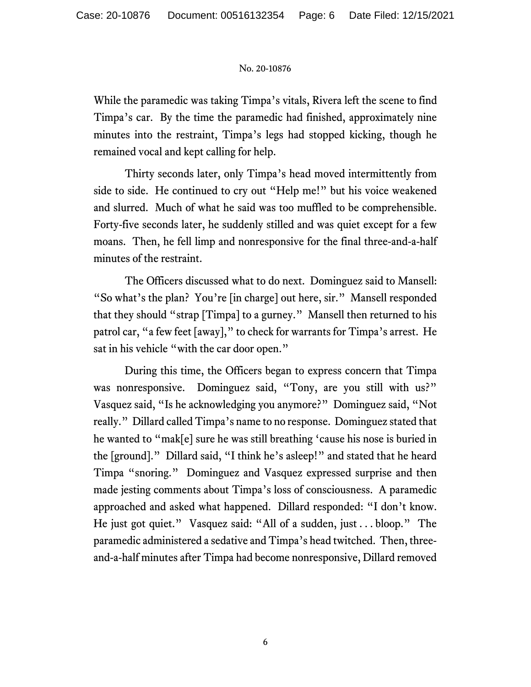While the paramedic was taking Timpa's vitals, Rivera left the scene to find Timpa's car. By the time the paramedic had finished, approximately nine minutes into the restraint, Timpa's legs had stopped kicking, though he remained vocal and kept calling for help.

Thirty seconds later, only Timpa's head moved intermittently from side to side. He continued to cry out "Help me!" but his voice weakened and slurred. Much of what he said was too muffled to be comprehensible. Forty-five seconds later, he suddenly stilled and was quiet except for a few moans. Then, he fell limp and nonresponsive for the final three-and-a-half minutes of the restraint.

The Officers discussed what to do next. Dominguez said to Mansell: "So what's the plan? You're [in charge] out here, sir." Mansell responded that they should "strap [Timpa] to a gurney." Mansell then returned to his patrol car, "a few feet [away]," to check for warrants for Timpa's arrest. He sat in his vehicle "with the car door open."

During this time, the Officers began to express concern that Timpa was nonresponsive. Dominguez said, "Tony, are you still with us?" Vasquez said, "Is he acknowledging you anymore?" Dominguez said, "Not really." Dillard called Timpa's name to no response. Dominguez stated that he wanted to "mak[e] sure he was still breathing 'cause his nose is buried in the [ground]." Dillard said, "I think he's asleep!" and stated that he heard Timpa "snoring." Dominguez and Vasquez expressed surprise and then made jesting comments about Timpa's loss of consciousness. A paramedic approached and asked what happened. Dillard responded: "I don't know. He just got quiet." Vasquez said: "All of a sudden, just . . . bloop." The paramedic administered a sedative and Timpa's head twitched. Then, threeand-a-half minutes after Timpa had become nonresponsive, Dillard removed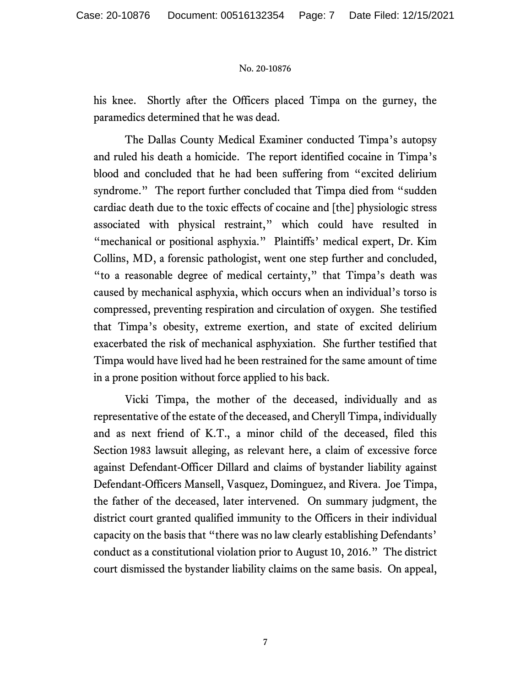his knee. Shortly after the Officers placed Timpa on the gurney, the paramedics determined that he was dead.

The Dallas County Medical Examiner conducted Timpa's autopsy and ruled his death a homicide. The report identified cocaine in Timpa's blood and concluded that he had been suffering from "excited delirium syndrome." The report further concluded that Timpa died from "sudden cardiac death due to the toxic effects of cocaine and [the] physiologic stress associated with physical restraint," which could have resulted in "mechanical or positional asphyxia." Plaintiffs' medical expert, Dr. Kim Collins, MD, a forensic pathologist, went one step further and concluded, "to a reasonable degree of medical certainty," that Timpa's death was caused by mechanical asphyxia, which occurs when an individual's torso is compressed, preventing respiration and circulation of oxygen. She testified that Timpa's obesity, extreme exertion, and state of excited delirium exacerbated the risk of mechanical asphyxiation. She further testified that Timpa would have lived had he been restrained for the same amount of time in a prone position without force applied to his back.

Vicki Timpa, the mother of the deceased, individually and as representative of the estate of the deceased, and Cheryll Timpa, individually and as next friend of K.T., a minor child of the deceased, filed this Section 1983 lawsuit alleging, as relevant here, a claim of excessive force against Defendant-Officer Dillard and claims of bystander liability against Defendant-Officers Mansell, Vasquez, Dominguez, and Rivera. Joe Timpa, the father of the deceased, later intervened. On summary judgment, the district court granted qualified immunity to the Officers in their individual capacity on the basis that "there was no law clearly establishing Defendants' conduct as a constitutional violation prior to August 10, 2016." The district court dismissed the bystander liability claims on the same basis. On appeal,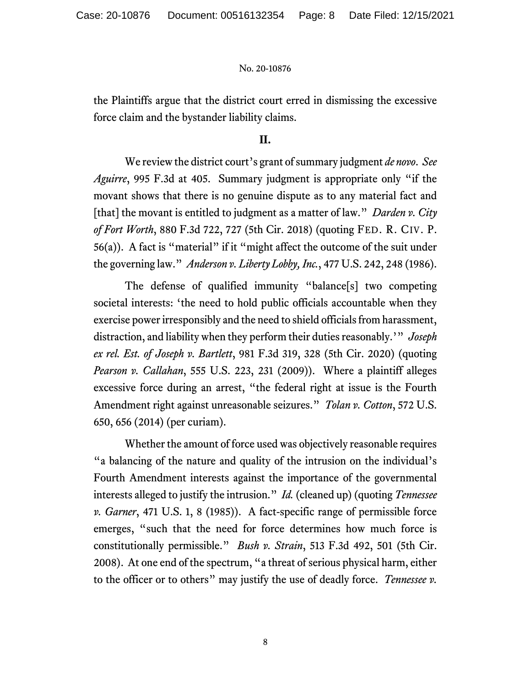the Plaintiffs argue that the district court erred in dismissing the excessive force claim and the bystander liability claims.

## **II.**

We review the district court's grant of summary judgment *de novo*. *See Aguirre*, 995 F.3d at 405. Summary judgment is appropriate only "if the movant shows that there is no genuine dispute as to any material fact and [that] the movant is entitled to judgment as a matter of law." *Darden v. City of Fort Worth*, 880 F.3d 722, 727 (5th Cir. 2018) (quoting FED. R. CIV. P.  $56(a)$ ). A fact is "material" if it "might affect the outcome of the suit under the governing law." *Anderson v. Liberty Lobby, Inc.*, 477 U.S. 242, 248 (1986).

The defense of qualified immunity "balance[s] two competing societal interests: 'the need to hold public officials accountable when they exercise power irresponsibly and the need to shield officials from harassment, distraction, and liability when they perform their duties reasonably.'" *Joseph ex rel. Est. of Joseph v. Bartlett*, 981 F.3d 319, 328 (5th Cir. 2020) (quoting *Pearson v. Callahan*, 555 U.S. 223, 231 (2009)). Where a plaintiff alleges excessive force during an arrest, "the federal right at issue is the Fourth Amendment right against unreasonable seizures." *Tolan v. Cotton*, 572 U.S. 650, 656 (2014) (per curiam).

Whether the amount of force used was objectively reasonable requires "a balancing of the nature and quality of the intrusion on the individual's Fourth Amendment interests against the importance of the governmental interests alleged to justify the intrusion." *Id.* (cleaned up) (quoting *Tennessee v. Garner*, 471 U.S. 1, 8 (1985)). A fact-specific range of permissible force emerges, "such that the need for force determines how much force is constitutionally permissible." *Bush v. Strain*, 513 F.3d 492, 501 (5th Cir. 2008). At one end of the spectrum, "a threat of serious physical harm, either to the officer or to others" may justify the use of deadly force. *Tennessee v.*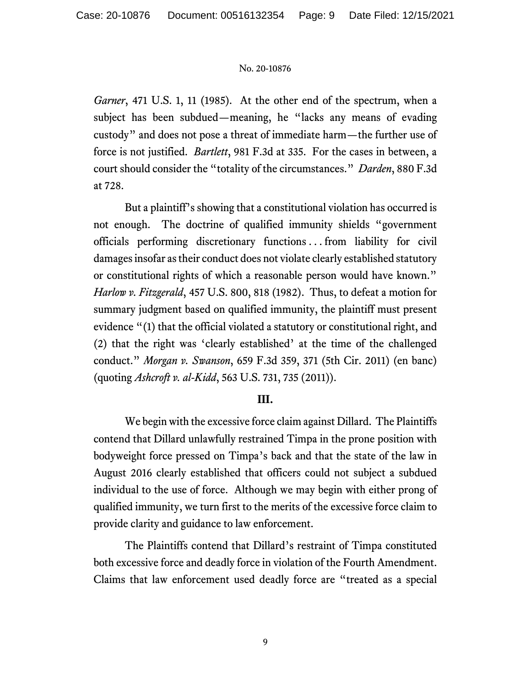*Garner*, 471 U.S. 1, 11 (1985). At the other end of the spectrum, when a subject has been subdued—meaning, he "lacks any means of evading custody" and does not pose a threat of immediate harm—the further use of force is not justified. *Bartlett*, 981 F.3d at 335. For the cases in between, a court should consider the "totality of the circumstances." *Darden*, 880 F.3d at 728.

But a plaintiff's showing that a constitutional violation has occurred is not enough. The doctrine of qualified immunity shields "government officials performing discretionary functions . . . from liability for civil damages insofar as their conduct does not violate clearly established statutory or constitutional rights of which a reasonable person would have known." *Harlow v. Fitzgerald*, 457 U.S. 800, 818 (1982). Thus, to defeat a motion for summary judgment based on qualified immunity, the plaintiff must present evidence "(1) that the official violated a statutory or constitutional right, and (2) that the right was 'clearly established' at the time of the challenged conduct." *Morgan v. Swanson*, 659 F.3d 359, 371 (5th Cir. 2011) (en banc) (quoting *Ashcroft v. al-Kidd*, 563 U.S. 731, 735 (2011)).

## **III.**

We begin with the excessive force claim against Dillard. The Plaintiffs contend that Dillard unlawfully restrained Timpa in the prone position with bodyweight force pressed on Timpa's back and that the state of the law in August 2016 clearly established that officers could not subject a subdued individual to the use of force. Although we may begin with either prong of qualified immunity, we turn first to the merits of the excessive force claim to provide clarity and guidance to law enforcement.

The Plaintiffs contend that Dillard's restraint of Timpa constituted both excessive force and deadly force in violation of the Fourth Amendment. Claims that law enforcement used deadly force are "treated as a special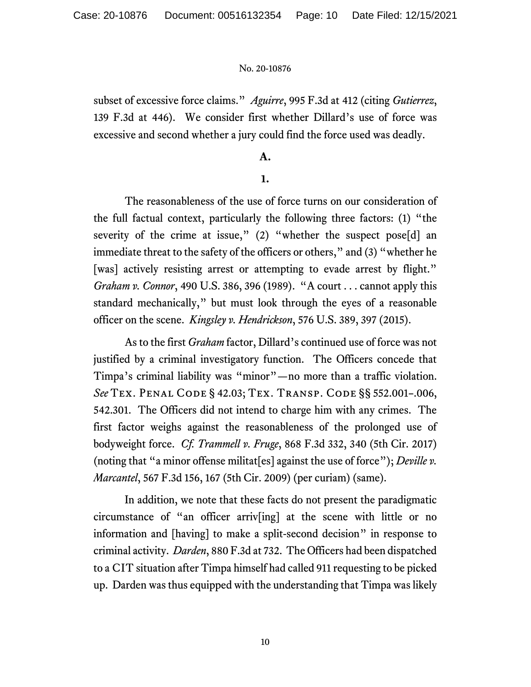subset of excessive force claims." *Aguirre*, 995 F.3d at 412 (citing *Gutierrez*, 139 F.3d at 446). We consider first whether Dillard's use of force was excessive and second whether a jury could find the force used was deadly.

## **A.**

## **1.**

The reasonableness of the use of force turns on our consideration of the full factual context, particularly the following three factors: (1) "the severity of the crime at issue," (2) "whether the suspect pose[d] an immediate threat to the safety of the officers or others," and (3) "whether he [was] actively resisting arrest or attempting to evade arrest by flight." *Graham v. Connor*, 490 U.S. 386, 396 (1989). "A court . . . cannot apply this standard mechanically," but must look through the eyes of a reasonable officer on the scene. *Kingsley v. Hendrickson*, 576 U.S. 389, 397 (2015).

As to the first *Graham* factor, Dillard's continued use of force was not justified by a criminal investigatory function. The Officers concede that Timpa's criminal liability was "minor"—no more than a traffic violation. *See* Tex. Penal Code § 42.03; Tex. Transp. Code §§ 552.001–.006, 542.301. The Officers did not intend to charge him with any crimes. The first factor weighs against the reasonableness of the prolonged use of bodyweight force. *Cf. Trammell v. Fruge*, 868 F.3d 332, 340 (5th Cir. 2017) (noting that "a minor offense militat[es] against the use of force"); *Deville v. Marcantel*, 567 F.3d 156, 167 (5th Cir. 2009) (per curiam) (same).

In addition, we note that these facts do not present the paradigmatic circumstance of "an officer arriv[ing] at the scene with little or no information and [having] to make a split-second decision" in response to criminal activity. *Darden*, 880 F.3d at 732. The Officers had been dispatched to a CIT situation after Timpa himself had called 911 requesting to be picked up. Darden was thus equipped with the understanding that Timpa was likely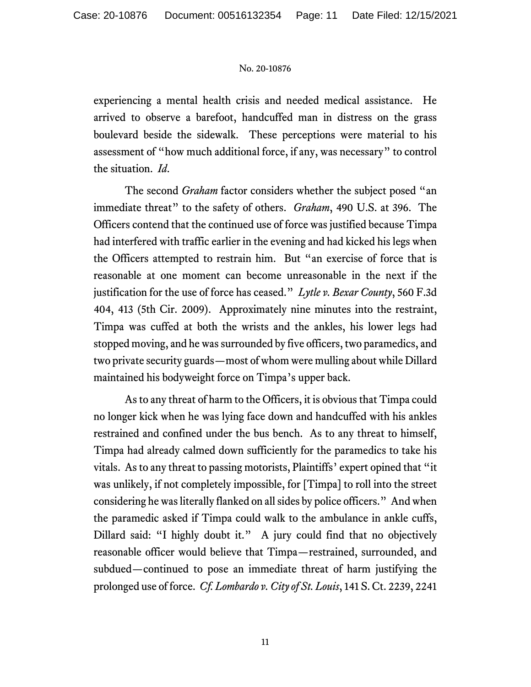experiencing a mental health crisis and needed medical assistance. He arrived to observe a barefoot, handcuffed man in distress on the grass boulevard beside the sidewalk. These perceptions were material to his assessment of "how much additional force, if any, was necessary" to control the situation. *Id*.

The second *Graham* factor considers whether the subject posed "an immediate threat" to the safety of others. *Graham*, 490 U.S. at 396. The Officers contend that the continued use of force was justified because Timpa had interfered with traffic earlier in the evening and had kicked his legs when the Officers attempted to restrain him. But "an exercise of force that is reasonable at one moment can become unreasonable in the next if the justification for the use of force has ceased." *Lytle v. Bexar County*, 560 F.3d 404, 413 (5th Cir. 2009). Approximately nine minutes into the restraint, Timpa was cuffed at both the wrists and the ankles, his lower legs had stopped moving, and he was surrounded by five officers, two paramedics, and two private security guards—most of whom were mulling about while Dillard maintained his bodyweight force on Timpa's upper back.

As to any threat of harm to the Officers, it is obvious that Timpa could no longer kick when he was lying face down and handcuffed with his ankles restrained and confined under the bus bench. As to any threat to himself, Timpa had already calmed down sufficiently for the paramedics to take his vitals. As to any threat to passing motorists, Plaintiffs' expert opined that "it was unlikely, if not completely impossible, for [Timpa] to roll into the street considering he was literally flanked on all sides by police officers." And when the paramedic asked if Timpa could walk to the ambulance in ankle cuffs, Dillard said: "I highly doubt it." A jury could find that no objectively reasonable officer would believe that Timpa—restrained, surrounded, and subdued—continued to pose an immediate threat of harm justifying the prolonged use of force. *Cf. Lombardo v. City of St. Louis*, 141 S. Ct. 2239, 2241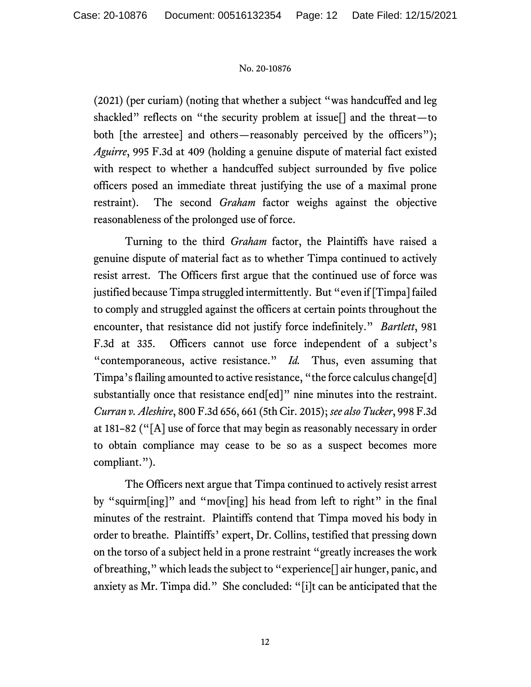(2021) (per curiam) (noting that whether a subject "was handcuffed and leg shackled" reflects on "the security problem at issue[] and the threat—to both [the arrestee] and others—reasonably perceived by the officers"); *Aguirre*, 995 F.3d at 409 (holding a genuine dispute of material fact existed with respect to whether a handcuffed subject surrounded by five police officers posed an immediate threat justifying the use of a maximal prone restraint). The second *Graham* factor weighs against the objective reasonableness of the prolonged use of force.

Turning to the third *Graham* factor, the Plaintiffs have raised a genuine dispute of material fact as to whether Timpa continued to actively resist arrest. The Officers first argue that the continued use of force was justified because Timpa struggled intermittently. But "even if [Timpa] failed to comply and struggled against the officers at certain points throughout the encounter, that resistance did not justify force indefinitely." *Bartlett*, 981 F.3d at 335. Officers cannot use force independent of a subject's "contemporaneous, active resistance." *Id.* Thus, even assuming that Timpa's flailing amounted to active resistance, "the force calculus change[d] substantially once that resistance end[ed]" nine minutes into the restraint. *Curran v. Aleshire*, 800 F.3d 656, 661 (5th Cir. 2015); *see also Tucker*, 998 F.3d at 181–82 ("[A] use of force that may begin as reasonably necessary in order to obtain compliance may cease to be so as a suspect becomes more compliant.").

The Officers next argue that Timpa continued to actively resist arrest by "squirm[ing]" and "mov[ing] his head from left to right" in the final minutes of the restraint. Plaintiffs contend that Timpa moved his body in order to breathe. Plaintiffs' expert, Dr. Collins, testified that pressing down on the torso of a subject held in a prone restraint "greatly increases the work of breathing," which leads the subject to "experience[] air hunger, panic, and anxiety as Mr. Timpa did." She concluded: "[i]t can be anticipated that the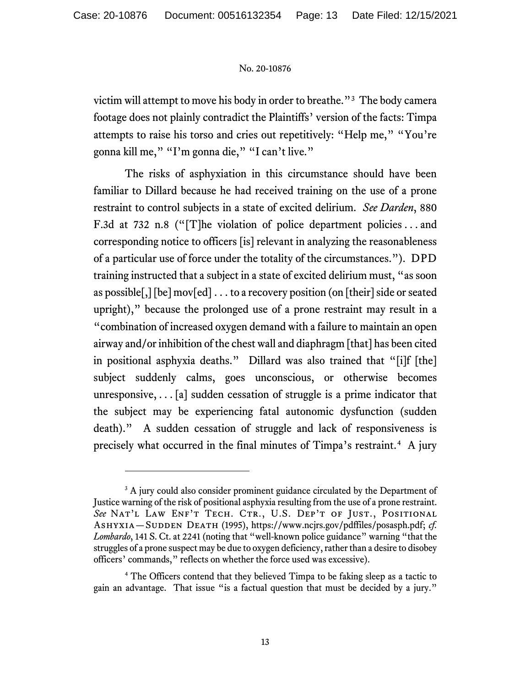victim will attempt to move his body in order to breathe."<sup>[3](#page-12-0)</sup> The body camera footage does not plainly contradict the Plaintiffs' version of the facts: Timpa attempts to raise his torso and cries out repetitively: "Help me," "You're gonna kill me," "I'm gonna die," "I can't live."

The risks of asphyxiation in this circumstance should have been familiar to Dillard because he had received training on the use of a prone restraint to control subjects in a state of excited delirium. *See Darden*, 880 F.3d at 732 n.8 ("[T]he violation of police department policies . . . and corresponding notice to officers [is] relevant in analyzing the reasonableness of a particular use of force under the totality of the circumstances."). DPD training instructed that a subject in a state of excited delirium must, "as soon as possible[,] [be] mov[ed] . . . to a recovery position (on [their] side or seated upright)," because the prolonged use of a prone restraint may result in a "combination of increased oxygen demand with a failure to maintain an open airway and/or inhibition of the chest wall and diaphragm [that] has been cited in positional asphyxia deaths." Dillard was also trained that "[i]f [the] subject suddenly calms, goes unconscious, or otherwise becomes unresponsive,  $\ldots$  [a] sudden cessation of struggle is a prime indicator that the subject may be experiencing fatal autonomic dysfunction (sudden death)." A sudden cessation of struggle and lack of responsiveness is precisely what occurred in the final minutes of Timpa's restraint.[4](#page-12-1) A jury

<span id="page-12-0"></span><sup>&</sup>lt;sup>3</sup> A jury could also consider prominent guidance circulated by the Department of Justice warning of the risk of positional asphyxia resulting from the use of a prone restraint. See NAT'L LAW ENF'T TECH. CTR., U.S. DEP'T OF JUST., POSITIONAL ASHYXIA—SUDDEN DEATH (1995), https://www.ncjrs.gov/pdffiles/posasph.pdf; *cf. Lombardo*, 141 S. Ct. at 2241 (noting that "well-known police guidance" warning "that the struggles of a prone suspect may be due to oxygen deficiency, rather than a desire to disobey officers' commands," reflects on whether the force used was excessive).

<span id="page-12-1"></span><sup>&</sup>lt;sup>4</sup> The Officers contend that they believed Timpa to be faking sleep as a tactic to gain an advantage. That issue "is a factual question that must be decided by a jury."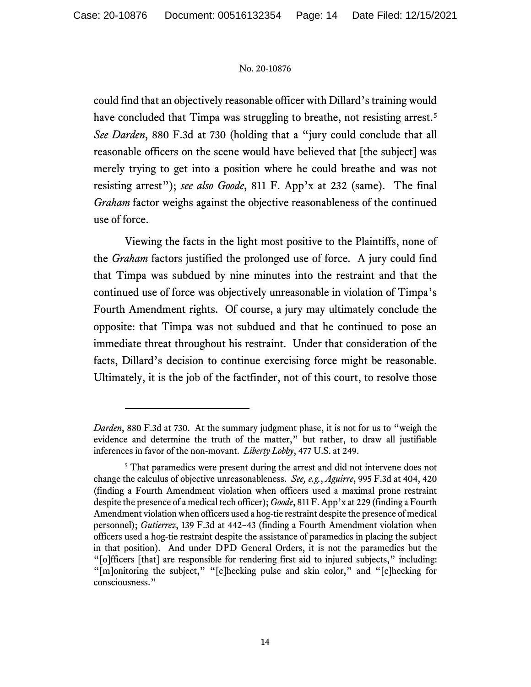could find that an objectively reasonable officer with Dillard's training would have concluded that Timpa was struggling to breathe, not resisting arrest.<sup>[5](#page-13-0)</sup> *See Darden*, 880 F.3d at 730 (holding that a "jury could conclude that all reasonable officers on the scene would have believed that [the subject] was merely trying to get into a position where he could breathe and was not resisting arrest"); *see also Goode*, 811 F. App'x at 232 (same). The final *Graham* factor weighs against the objective reasonableness of the continued use of force.

Viewing the facts in the light most positive to the Plaintiffs, none of the *Graham* factors justified the prolonged use of force. A jury could find that Timpa was subdued by nine minutes into the restraint and that the continued use of force was objectively unreasonable in violation of Timpa's Fourth Amendment rights. Of course, a jury may ultimately conclude the opposite: that Timpa was not subdued and that he continued to pose an immediate threat throughout his restraint. Under that consideration of the facts, Dillard's decision to continue exercising force might be reasonable. Ultimately, it is the job of the factfinder, not of this court, to resolve those

*Darden*, 880 F.3d at 730. At the summary judgment phase, it is not for us to "weigh the evidence and determine the truth of the matter," but rather, to draw all justifiable inferences in favor of the non-movant. *Liberty Lobby*, 477 U.S. at 249.

<span id="page-13-0"></span><sup>&</sup>lt;sup>5</sup> That paramedics were present during the arrest and did not intervene does not change the calculus of objective unreasonableness. *See, e.g.*, *Aguirre*, 995 F.3d at 404, 420 (finding a Fourth Amendment violation when officers used a maximal prone restraint despite the presence of a medical tech officer); *Goode*, 811 F. App'x at 229 (finding a Fourth Amendment violation when officers used a hog-tie restraint despite the presence of medical personnel); *Gutierrez*, 139 F.3d at 442–43 (finding a Fourth Amendment violation when officers used a hog-tie restraint despite the assistance of paramedics in placing the subject in that position). And under DPD General Orders, it is not the paramedics but the "[o]fficers [that] are responsible for rendering first aid to injured subjects," including: "[m]onitoring the subject," "[c]hecking pulse and skin color," and "[c]hecking for consciousness."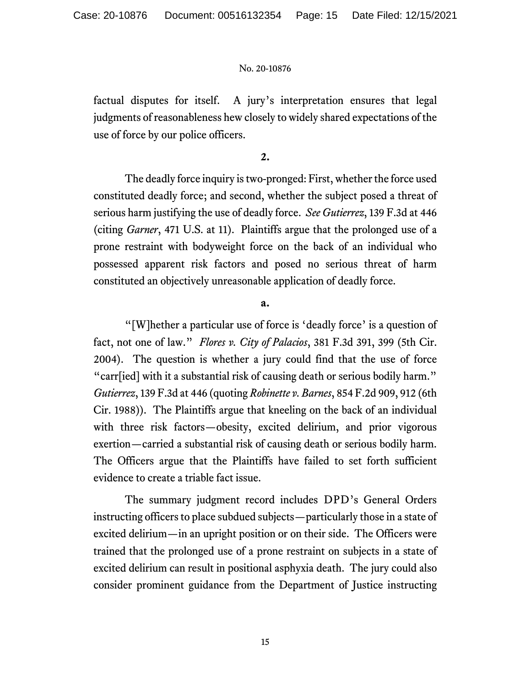factual disputes for itself. A jury's interpretation ensures that legal judgments of reasonableness hew closely to widely shared expectations of the use of force by our police officers.

**2.**

The deadly force inquiry is two-pronged: First, whether the force used constituted deadly force; and second, whether the subject posed a threat of serious harm justifying the use of deadly force. *See Gutierrez*, 139 F.3d at 446 (citing *Garner*, 471 U.S. at 11). Plaintiffs argue that the prolonged use of a prone restraint with bodyweight force on the back of an individual who possessed apparent risk factors and posed no serious threat of harm constituted an objectively unreasonable application of deadly force.

**a.** 

"[W]hether a particular use of force is 'deadly force' is a question of fact, not one of law." *Flores v. City of Palacios*, 381 F.3d 391, 399 (5th Cir. 2004). The question is whether a jury could find that the use of force "carr[ied] with it a substantial risk of causing death or serious bodily harm." *Gutierrez*, 139 F.3d at 446 (quoting *Robinette v. Barnes*, 854 F.2d 909, 912 (6th Cir. 1988)). The Plaintiffs argue that kneeling on the back of an individual with three risk factors—obesity, excited delirium, and prior vigorous exertion—carried a substantial risk of causing death or serious bodily harm. The Officers argue that the Plaintiffs have failed to set forth sufficient evidence to create a triable fact issue.

The summary judgment record includes DPD's General Orders instructing officers to place subdued subjects—particularly those in a state of excited delirium—in an upright position or on their side. The Officers were trained that the prolonged use of a prone restraint on subjects in a state of excited delirium can result in positional asphyxia death. The jury could also consider prominent guidance from the Department of Justice instructing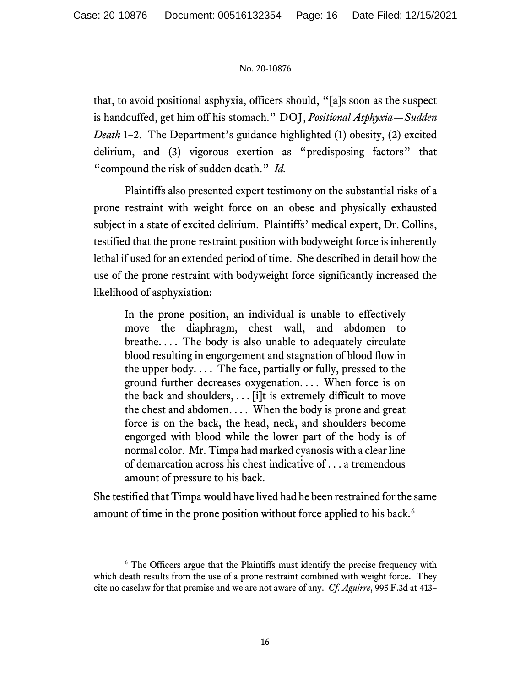that, to avoid positional asphyxia, officers should, "[a]s soon as the suspect is handcuffed, get him off his stomach." DOJ, *Positional Asphyxia—Sudden Death* 1–2. The Department's guidance highlighted (1) obesity, (2) excited delirium, and (3) vigorous exertion as "predisposing factors" that "compound the risk of sudden death." *Id.*

Plaintiffs also presented expert testimony on the substantial risks of a prone restraint with weight force on an obese and physically exhausted subject in a state of excited delirium. Plaintiffs' medical expert, Dr. Collins, testified that the prone restraint position with bodyweight force is inherently lethal if used for an extended period of time. She described in detail how the use of the prone restraint with bodyweight force significantly increased the likelihood of asphyxiation:

In the prone position, an individual is unable to effectively move the diaphragm, chest wall, and abdomen to breathe.... The body is also unable to adequately circulate blood resulting in engorgement and stagnation of blood flow in the upper body.... The face, partially or fully, pressed to the ground further decreases oxygenation. . . . When force is on the back and shoulders,  $\ldots$  [i]t is extremely difficult to move the chest and abdomen. . . . When the body is prone and great force is on the back, the head, neck, and shoulders become engorged with blood while the lower part of the body is of normal color. Mr. Timpa had marked cyanosis with a clear line of demarcation across his chest indicative of . . . a tremendous amount of pressure to his back.

She testified that Timpa would have lived had he been restrained for the same amount of time in the prone position without force applied to his back.<sup>[6](#page-15-0)</sup>

<span id="page-15-0"></span><sup>&</sup>lt;sup>6</sup> The Officers argue that the Plaintiffs must identify the precise frequency with which death results from the use of a prone restraint combined with weight force. They cite no caselaw for that premise and we are not aware of any. *Cf. Aguirre*, 995 F.3d at 413–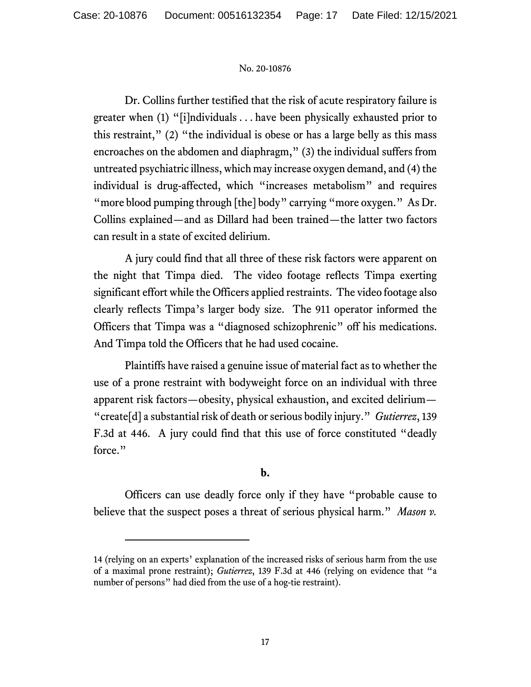Dr. Collins further testified that the risk of acute respiratory failure is greater when (1) "[i]ndividuals . . . have been physically exhausted prior to this restraint," (2) "the individual is obese or has a large belly as this mass encroaches on the abdomen and diaphragm," (3) the individual suffers from untreated psychiatric illness, which may increase oxygen demand, and (4) the individual is drug-affected, which "increases metabolism" and requires "more blood pumping through [the] body" carrying "more oxygen."As Dr. Collins explained—and as Dillard had been trained—the latter two factors can result in a state of excited delirium.

A jury could find that all three of these risk factors were apparent on the night that Timpa died. The video footage reflects Timpa exerting significant effort while the Officers applied restraints. The video footage also clearly reflects Timpa's larger body size. The 911 operator informed the Officers that Timpa was a "diagnosed schizophrenic" off his medications. And Timpa told the Officers that he had used cocaine.

Plaintiffs have raised a genuine issue of material fact as to whether the use of a prone restraint with bodyweight force on an individual with three apparent risk factors—obesity, physical exhaustion, and excited delirium— "create[d] a substantial risk of death or serious bodily injury." *Gutierrez*, 139 F.3d at 446. A jury could find that this use of force constituted "deadly force."

# **b.**

Officers can use deadly force only if they have "probable cause to believe that the suspect poses a threat of serious physical harm." *Mason v.* 

<sup>14 (</sup>relying on an experts' explanation of the increased risks of serious harm from the use of a maximal prone restraint); *Gutierrez*, 139 F.3d at 446 (relying on evidence that "a number of persons" had died from the use of a hog-tie restraint).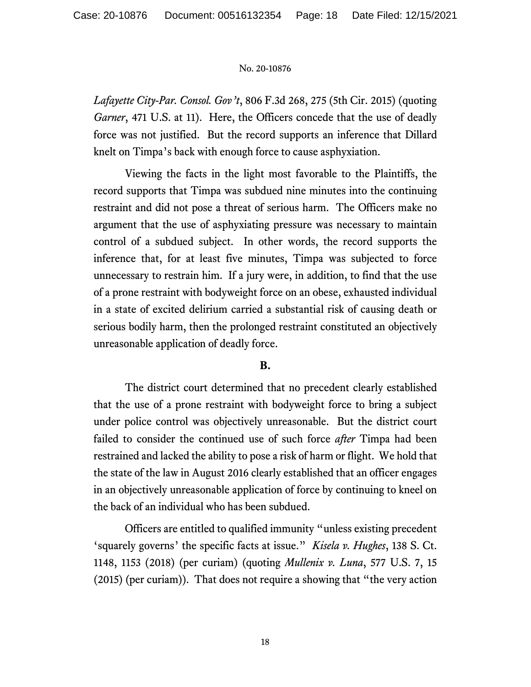*Lafayette City-Par. Consol. Gov't*, 806 F.3d 268, 275 (5th Cir. 2015) (quoting *Garner*, 471 U.S. at 11). Here, the Officers concede that the use of deadly force was not justified. But the record supports an inference that Dillard knelt on Timpa's back with enough force to cause asphyxiation.

Viewing the facts in the light most favorable to the Plaintiffs, the record supports that Timpa was subdued nine minutes into the continuing restraint and did not pose a threat of serious harm. The Officers make no argument that the use of asphyxiating pressure was necessary to maintain control of a subdued subject. In other words, the record supports the inference that, for at least five minutes, Timpa was subjected to force unnecessary to restrain him. If a jury were, in addition, to find that the use of a prone restraint with bodyweight force on an obese, exhausted individual in a state of excited delirium carried a substantial risk of causing death or serious bodily harm, then the prolonged restraint constituted an objectively unreasonable application of deadly force.

## **B.**

The district court determined that no precedent clearly established that the use of a prone restraint with bodyweight force to bring a subject under police control was objectively unreasonable. But the district court failed to consider the continued use of such force *after* Timpa had been restrained and lacked the ability to pose a risk of harm or flight. We hold that the state of the law in August 2016 clearly established that an officer engages in an objectively unreasonable application of force by continuing to kneel on the back of an individual who has been subdued.

Officers are entitled to qualified immunity "unless existing precedent 'squarely governs' the specific facts at issue." *Kisela v. Hughes*, 138 S. Ct. 1148, 1153 (2018) (per curiam) (quoting *Mullenix v. Luna*, 577 U.S. 7, 15 (2015) (per curiam)). That does not require a showing that "the very action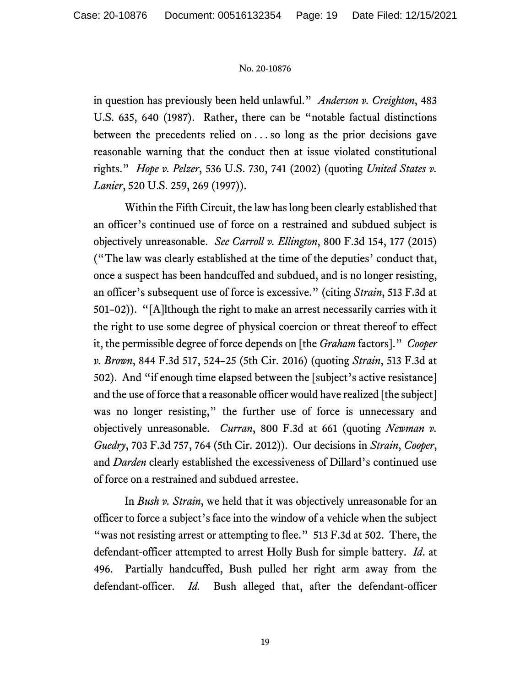in question has previously been held unlawful." *Anderson v. Creighton*, 483 U.S. 635, 640 (1987). Rather, there can be "notable factual distinctions between the precedents relied on . . . so long as the prior decisions gave reasonable warning that the conduct then at issue violated constitutional rights." *Hope v. Pelzer*, 536 U.S. 730, 741 (2002) (quoting *United States v. Lanier*, 520 U.S. 259, 269 (1997)).

Within the Fifth Circuit, the law has long been clearly established that an officer's continued use of force on a restrained and subdued subject is objectively unreasonable. *See Carroll v. Ellington*, 800 F.3d 154, 177 (2015) ("The law was clearly established at the time of the deputies' conduct that, once a suspect has been handcuffed and subdued, and is no longer resisting, an officer's subsequent use of force is excessive." (citing *Strain*, 513 F.3d at 501–02)). "[A]lthough the right to make an arrest necessarily carries with it the right to use some degree of physical coercion or threat thereof to effect it, the permissible degree of force depends on [the *Graham* factors]." *Cooper v. Brown*, 844 F.3d 517, 524–25 (5th Cir. 2016) (quoting *Strain*, 513 F.3d at 502). And "if enough time elapsed between the [subject's active resistance] and the use of force that a reasonable officer would have realized [the subject] was no longer resisting," the further use of force is unnecessary and objectively unreasonable. *Curran*, 800 F.3d at 661 (quoting *Newman v. Guedry*, 703 F.3d 757, 764 (5th Cir. 2012)). Our decisions in *Strain*, *Cooper*, and *Darden* clearly established the excessiveness of Dillard's continued use of force on a restrained and subdued arrestee.

In *Bush v. Strain*, we held that it was objectively unreasonable for an officer to force a subject's face into the window of a vehicle when the subject "was not resisting arrest or attempting to flee." 513 F.3d at 502. There, the defendant-officer attempted to arrest Holly Bush for simple battery. *Id*. at 496. Partially handcuffed, Bush pulled her right arm away from the defendant-officer. *Id.* Bush alleged that, after the defendant-officer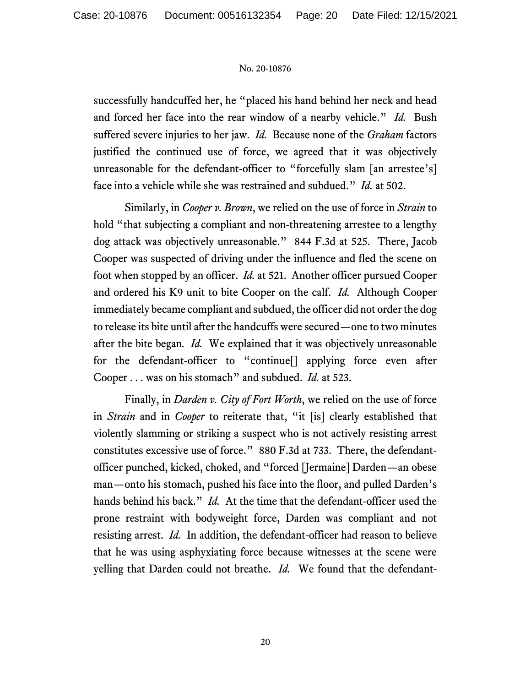successfully handcuffed her, he "placed his hand behind her neck and head and forced her face into the rear window of a nearby vehicle." *Id.* Bush suffered severe injuries to her jaw. *Id.* Because none of the *Graham* factors justified the continued use of force, we agreed that it was objectively unreasonable for the defendant-officer to "forcefully slam [an arrestee's] face into a vehicle while she was restrained and subdued." *Id.* at 502.

Similarly, in *Cooper v. Brown*, we relied on the use of force in *Strain* to hold "that subjecting a compliant and non-threatening arrestee to a lengthy dog attack was objectively unreasonable." 844 F.3d at 525. There, Jacob Cooper was suspected of driving under the influence and fled the scene on foot when stopped by an officer. *Id.* at 521. Another officer pursued Cooper and ordered his K9 unit to bite Cooper on the calf. *Id.* Although Cooper immediately became compliant and subdued, the officer did not order the dog to release its bite until after the handcuffs were secured—one to two minutes after the bite began*. Id.* We explained that it was objectively unreasonable for the defendant-officer to "continue[] applying force even after Cooper . . . was on his stomach" and subdued. *Id.* at 523.

Finally, in *Darden v. City of Fort Worth*, we relied on the use of force in *Strain* and in *Cooper* to reiterate that, "it [is] clearly established that violently slamming or striking a suspect who is not actively resisting arrest constitutes excessive use of force." 880 F.3d at 733. There, the defendantofficer punched, kicked, choked, and "forced [Jermaine] Darden—an obese man—onto his stomach, pushed his face into the floor, and pulled Darden's hands behind his back." *Id.* At the time that the defendant-officer used the prone restraint with bodyweight force, Darden was compliant and not resisting arrest. *Id.* In addition, the defendant-officer had reason to believe that he was using asphyxiating force because witnesses at the scene were yelling that Darden could not breathe. *Id.* We found that the defendant-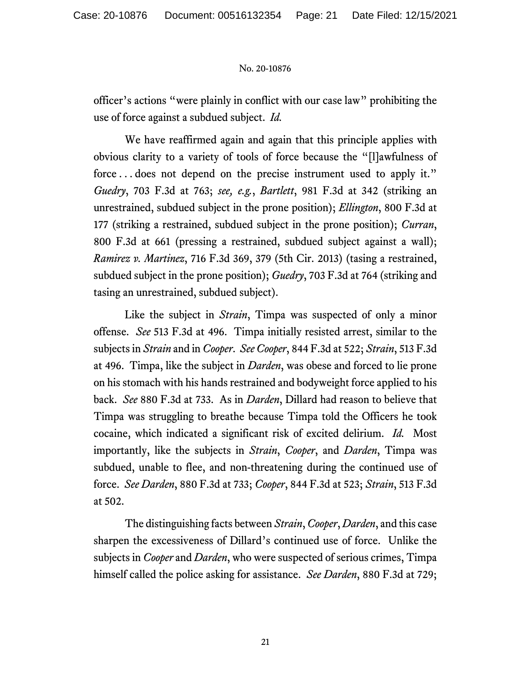officer's actions "were plainly in conflict with our case law" prohibiting the use of force against a subdued subject. *Id.*

We have reaffirmed again and again that this principle applies with obvious clarity to a variety of tools of force because the "[l]awfulness of force ... does not depend on the precise instrument used to apply it." *Guedry*, 703 F.3d at 763; *see, e.g.*, *Bartlett*, 981 F.3d at 342 (striking an unrestrained, subdued subject in the prone position); *Ellington*, 800 F.3d at 177 (striking a restrained, subdued subject in the prone position); *Curran*, 800 F.3d at 661 (pressing a restrained, subdued subject against a wall); *Ramirez v. Martinez*, 716 F.3d 369, 379 (5th Cir. 2013) (tasing a restrained, subdued subject in the prone position); *Guedry*, 703 F.3d at 764 (striking and tasing an unrestrained, subdued subject).

Like the subject in *Strain*, Timpa was suspected of only a minor offense. *See* 513 F.3d at 496.Timpa initially resisted arrest, similar to the subjects in *Strain* and in *Cooper*. *See Cooper*, 844 F.3d at 522; *Strain*, 513 F.3d at 496.Timpa, like the subject in *Darden*, was obese and forced to lie prone on his stomach with his hands restrained and bodyweight force applied to his back. *See* 880 F.3d at 733. As in *Darden*, Dillard had reason to believe that Timpa was struggling to breathe because Timpa told the Officers he took cocaine, which indicated a significant risk of excited delirium. *Id.* Most importantly, like the subjects in *Strain*, *Cooper*, and *Darden*, Timpa was subdued, unable to flee, and non-threatening during the continued use of force. *See Darden*, 880 F.3d at 733; *Cooper*, 844 F.3d at 523; *Strain*, 513 F.3d at 502.

The distinguishing facts between *Strain*, *Cooper*, *Darden*, and this case sharpen the excessiveness of Dillard's continued use of force. Unlike the subjects in *Cooper* and *Darden*, who were suspected of serious crimes, Timpa himself called the police asking for assistance. *See Darden*, 880 F.3d at 729;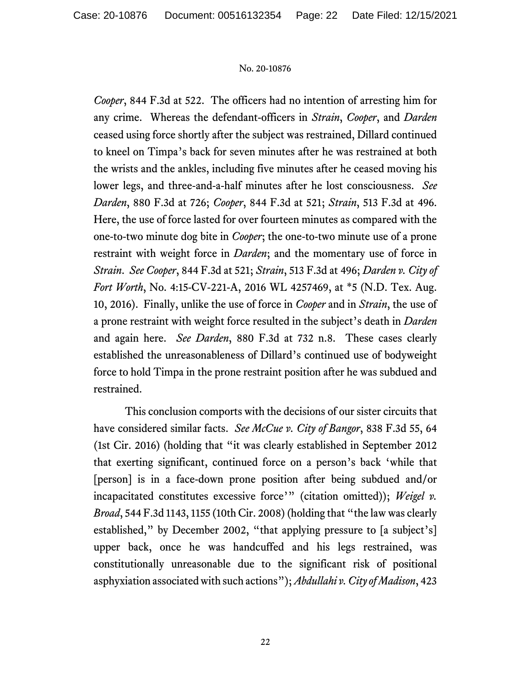*Cooper*, 844 F.3d at 522.The officers had no intention of arresting him for any crime. Whereas the defendant-officers in *Strain*, *Cooper*, and *Darden* ceased using force shortly after the subject was restrained, Dillard continued to kneel on Timpa's back for seven minutes after he was restrained at both the wrists and the ankles, including five minutes after he ceased moving his lower legs, and three-and-a-half minutes after he lost consciousness.*See Darden*, 880 F.3d at 726; *Cooper*, 844 F.3d at 521; *Strain*, 513 F.3d at 496. Here, the use of force lasted for over fourteen minutes as compared with the one-to-two minute dog bite in *Cooper*; the one-to-two minute use of a prone restraint with weight force in *Darden*; and the momentary use of force in *Strain*. *See Cooper*, 844 F.3d at 521; *Strain*, 513 F.3d at 496; *Darden v. City of Fort Worth*, No. 4:15-CV-221-A, 2016 WL 4257469, at \*5 (N.D. Tex. Aug. 10, 2016). Finally, unlike the use of force in *Cooper* and in *Strain*, the use of a prone restraint with weight force resulted in the subject's death in *Darden*  and again here. *See Darden*, 880 F.3d at 732 n.8.These cases clearly established the unreasonableness of Dillard's continued use of bodyweight force to hold Timpa in the prone restraint position after he was subdued and restrained.

This conclusion comports with the decisions of our sister circuits that have considered similar facts. *See McCue v. City of Bangor*, 838 F.3d 55, 64 (1st Cir. 2016) (holding that "it was clearly established in September 2012 that exerting significant, continued force on a person's back 'while that [person] is in a face-down prone position after being subdued and/or incapacitated constitutes excessive force'" (citation omitted)); *Weigel v. Broad*, 544 F.3d 1143, 1155 (10th Cir. 2008) (holding that "the law was clearly established," by December 2002, "that applying pressure to [a subject's] upper back, once he was handcuffed and his legs restrained, was constitutionally unreasonable due to the significant risk of positional asphyxiation associated with such actions"); *Abdullahi v. City of Madison*, 423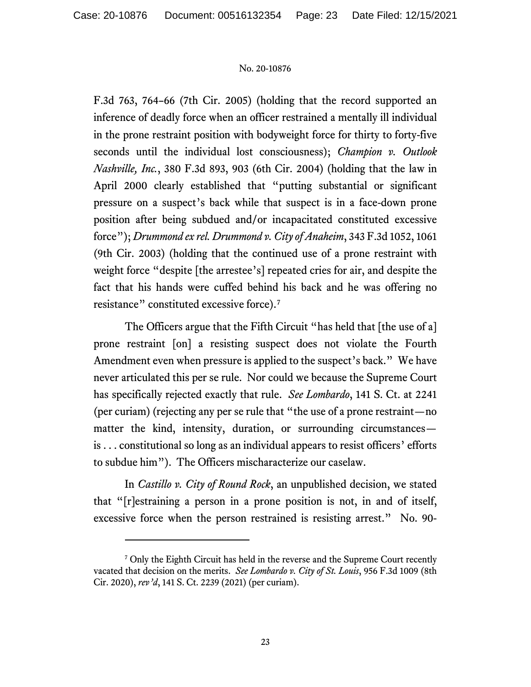F.3d 763, 764–66 (7th Cir. 2005) (holding that the record supported an inference of deadly force when an officer restrained a mentally ill individual in the prone restraint position with bodyweight force for thirty to forty-five seconds until the individual lost consciousness); *Champion v. Outlook Nashville, Inc.*, 380 F.3d 893, 903 (6th Cir. 2004) (holding that the law in April 2000 clearly established that "putting substantial or significant pressure on a suspect's back while that suspect is in a face-down prone position after being subdued and/or incapacitated constituted excessive force"); *Drummond ex rel. Drummond v. City of Anaheim*, 343 F.3d 1052, 1061 (9th Cir. 2003) (holding that the continued use of a prone restraint with weight force "despite [the arrestee's] repeated cries for air, and despite the fact that his hands were cuffed behind his back and he was offering no resistance" constituted excessive force).[7](#page-22-0)

The Officers argue that the Fifth Circuit "has held that [the use of a] prone restraint [on] a resisting suspect does not violate the Fourth Amendment even when pressure is applied to the suspect's back." We have never articulated this per se rule. Nor could we because the Supreme Court has specifically rejected exactly that rule. *See Lombardo*, 141 S. Ct. at 2241 (per curiam) (rejecting any per se rule that "the use of a prone restraint—no matter the kind, intensity, duration, or surrounding circumstances is . . . constitutional so long as an individual appears to resist officers' efforts to subdue him"). The Officers mischaracterize our caselaw.

In *Castillo v. City of Round Rock*, an unpublished decision, we stated that "[r]estraining a person in a prone position is not, in and of itself, excessive force when the person restrained is resisting arrest." No. 90-

<span id="page-22-0"></span><sup>&</sup>lt;sup>7</sup> Only the Eighth Circuit has held in the reverse and the Supreme Court recently vacated that decision on the merits. *See Lombardo v. City of St. Louis*, 956 F.3d 1009 (8th Cir. 2020), *rev'd*, 141 S. Ct. 2239 (2021) (per curiam).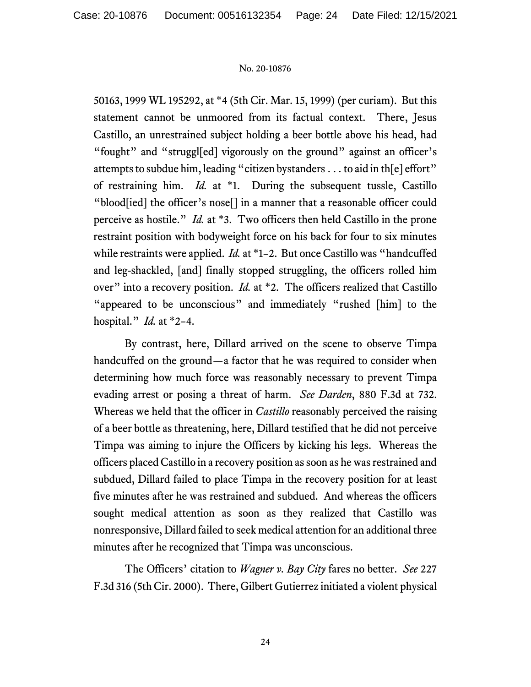50163, 1999 WL 195292, at \*4 (5th Cir. Mar. 15, 1999) (per curiam). But this statement cannot be unmoored from its factual context. There, Jesus Castillo, an unrestrained subject holding a beer bottle above his head, had "fought" and "struggl[ed] vigorously on the ground" against an officer's attempts to subdue him, leading "citizen bystanders . . . to aid in th[e] effort" of restraining him. *Id.* at \*1. During the subsequent tussle, Castillo "blood[ied] the officer's nose[] in a manner that a reasonable officer could perceive as hostile." *Id.* at \*3. Two officers then held Castillo in the prone restraint position with bodyweight force on his back for four to six minutes while restraints were applied. *Id.* at \*1–2. But once Castillo was "handcuffed" and leg-shackled, [and] finally stopped struggling, the officers rolled him over" into a recovery position. *Id.* at \*2. The officers realized that Castillo "appeared to be unconscious" and immediately "rushed [him] to the hospital." *Id.* at \*2–4.

By contrast, here, Dillard arrived on the scene to observe Timpa handcuffed on the ground—a factor that he was required to consider when determining how much force was reasonably necessary to prevent Timpa evading arrest or posing a threat of harm. *See Darden*, 880 F.3d at 732. Whereas we held that the officer in *Castillo* reasonably perceived the raising of a beer bottle as threatening, here, Dillard testified that he did not perceive Timpa was aiming to injure the Officers by kicking his legs. Whereas the officers placed Castillo in a recovery position as soon as he was restrained and subdued, Dillard failed to place Timpa in the recovery position for at least five minutes after he was restrained and subdued. And whereas the officers sought medical attention as soon as they realized that Castillo was nonresponsive, Dillard failed to seek medical attention for an additional three minutes after he recognized that Timpa was unconscious.

The Officers' citation to *Wagner v. Bay City* fares no better. *See* 227 F.3d 316 (5th Cir. 2000). There, Gilbert Gutierrez initiated a violent physical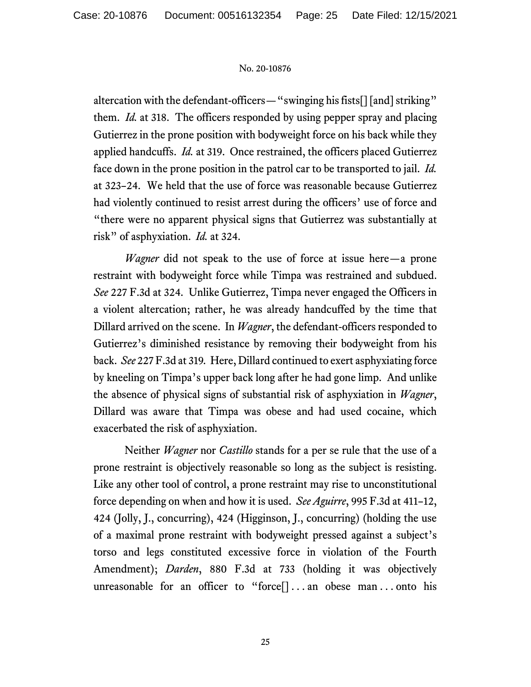altercation with the defendant-officers—"swinging his fists[] [and] striking" them. *Id.* at 318. The officers responded by using pepper spray and placing Gutierrez in the prone position with bodyweight force on his back while they applied handcuffs. *Id.* at 319. Once restrained, the officers placed Gutierrez face down in the prone position in the patrol car to be transported to jail. *Id.* at 323–24. We held that the use of force was reasonable because Gutierrez had violently continued to resist arrest during the officers' use of force and "there were no apparent physical signs that Gutierrez was substantially at risk" of asphyxiation. *Id.* at 324.

*Wagner* did not speak to the use of force at issue here—a prone restraint with bodyweight force while Timpa was restrained and subdued. *See* 227 F.3d at 324. Unlike Gutierrez, Timpa never engaged the Officers in a violent altercation; rather, he was already handcuffed by the time that Dillard arrived on the scene. In *Wagner*, the defendant-officers responded to Gutierrez's diminished resistance by removing their bodyweight from his back. *See* 227 F.3d at 319*.* Here, Dillard continued to exert asphyxiating force by kneeling on Timpa's upper back long after he had gone limp. And unlike the absence of physical signs of substantial risk of asphyxiation in *Wagner*, Dillard was aware that Timpa was obese and had used cocaine, which exacerbated the risk of asphyxiation.

Neither *Wagner* nor *Castillo* stands for a per se rule that the use of a prone restraint is objectively reasonable so long as the subject is resisting. Like any other tool of control, a prone restraint may rise to unconstitutional force depending on when and how it is used. *See Aguirre*, 995 F.3d at 411–12, 424 (Jolly, J., concurring), 424 (Higginson, J., concurring) (holding the use of a maximal prone restraint with bodyweight pressed against a subject's torso and legs constituted excessive force in violation of the Fourth Amendment); *Darden*, 880 F.3d at 733 (holding it was objectively unreasonable for an officer to "force[] . . . an obese man . . . onto his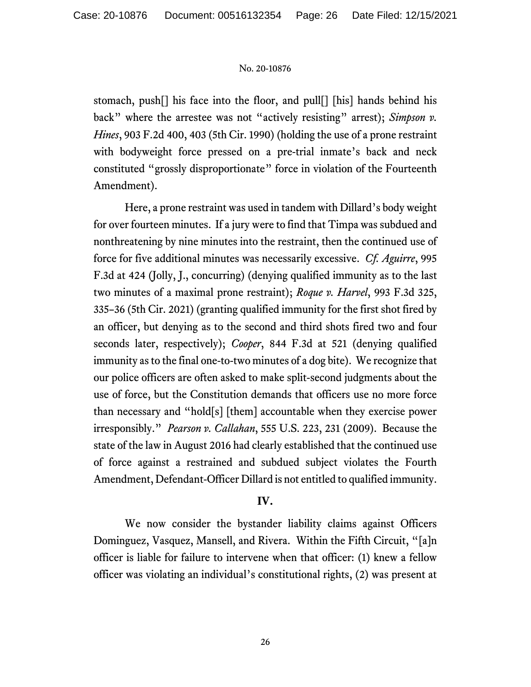stomach, push[] his face into the floor, and pull[] [his] hands behind his back" where the arrestee was not "actively resisting" arrest); *Simpson v. Hines*, 903 F.2d 400, 403 (5th Cir. 1990) (holding the use of a prone restraint with bodyweight force pressed on a pre-trial inmate's back and neck constituted "grossly disproportionate" force in violation of the Fourteenth Amendment).

Here, a prone restraint was used in tandem with Dillard's body weight for over fourteen minutes. If a jury were to find that Timpa was subdued and nonthreatening by nine minutes into the restraint, then the continued use of force for five additional minutes was necessarily excessive. *Cf. Aguirre*, 995 F.3d at 424 (Jolly, J., concurring) (denying qualified immunity as to the last two minutes of a maximal prone restraint); *Roque v. Harvel*, 993 F.3d 325, 335–36 (5th Cir. 2021) (granting qualified immunity for the first shot fired by an officer, but denying as to the second and third shots fired two and four seconds later, respectively); *Cooper*, 844 F.3d at 521 (denying qualified immunity as to the final one-to-two minutes of a dog bite). We recognize that our police officers are often asked to make split-second judgments about the use of force, but the Constitution demands that officers use no more force than necessary and "hold[s] [them] accountable when they exercise power irresponsibly." *Pearson v. Callahan*, 555 U.S. 223, 231 (2009). Because the state of the law in August 2016 had clearly established that the continued use of force against a restrained and subdued subject violates the Fourth Amendment, Defendant-Officer Dillard is not entitled to qualified immunity.

# **IV.**

We now consider the bystander liability claims against Officers Dominguez, Vasquez, Mansell, and Rivera. Within the Fifth Circuit, "[a]n officer is liable for failure to intervene when that officer: (1) knew a fellow officer was violating an individual's constitutional rights, (2) was present at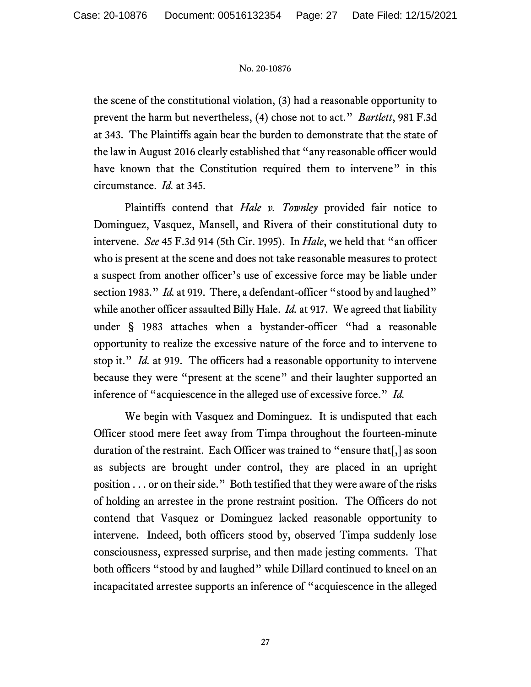the scene of the constitutional violation, (3) had a reasonable opportunity to prevent the harm but nevertheless, (4) chose not to act." *Bartlett*, 981 F.3d at 343. The Plaintiffs again bear the burden to demonstrate that the state of the law in August 2016 clearly established that "any reasonable officer would have known that the Constitution required them to intervene" in this circumstance. *Id.* at 345.

Plaintiffs contend that *Hale v. Townley* provided fair notice to Dominguez, Vasquez, Mansell, and Rivera of their constitutional duty to intervene. *See* 45 F.3d 914 (5th Cir. 1995). In *Hale*, we held that "an officer who is present at the scene and does not take reasonable measures to protect a suspect from another officer's use of excessive force may be liable under section 1983." *Id.* at 919. There, a defendant-officer "stood by and laughed" while another officer assaulted Billy Hale. *Id.* at 917. We agreed that liability under § 1983 attaches when a bystander-officer "had a reasonable opportunity to realize the excessive nature of the force and to intervene to stop it." *Id.* at 919. The officers had a reasonable opportunity to intervene because they were "present at the scene" and their laughter supported an inference of "acquiescence in the alleged use of excessive force." *Id.*

We begin with Vasquez and Dominguez. It is undisputed that each Officer stood mere feet away from Timpa throughout the fourteen-minute duration of the restraint. Each Officer was trained to "ensure that[,] as soon as subjects are brought under control, they are placed in an upright position . . . or on their side." Both testified that they were aware of the risks of holding an arrestee in the prone restraint position. The Officers do not contend that Vasquez or Dominguez lacked reasonable opportunity to intervene. Indeed, both officers stood by, observed Timpa suddenly lose consciousness, expressed surprise, and then made jesting comments. That both officers "stood by and laughed" while Dillard continued to kneel on an incapacitated arrestee supports an inference of "acquiescence in the alleged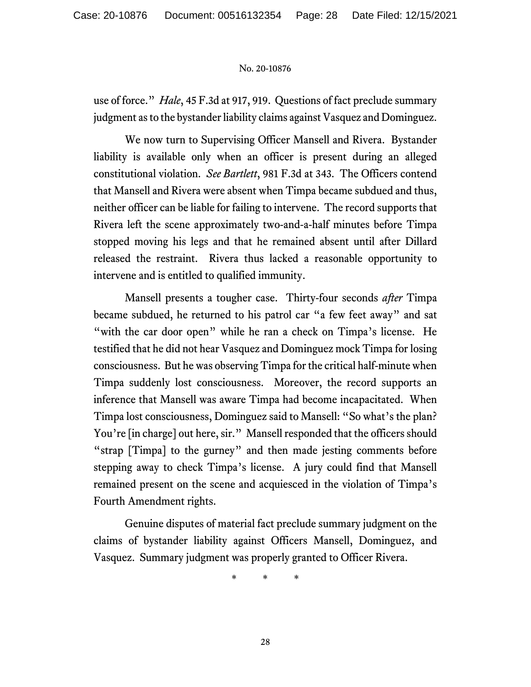use of force." *Hale*, 45 F.3d at 917, 919. Questions of fact preclude summary judgment as to the bystander liability claims against Vasquez and Dominguez.

We now turn to Supervising Officer Mansell and Rivera. Bystander liability is available only when an officer is present during an alleged constitutional violation. *See Bartlett*, 981 F.3d at 343. The Officers contend that Mansell and Rivera were absent when Timpa became subdued and thus, neither officer can be liable for failing to intervene. The record supports that Rivera left the scene approximately two-and-a-half minutes before Timpa stopped moving his legs and that he remained absent until after Dillard released the restraint. Rivera thus lacked a reasonable opportunity to intervene and is entitled to qualified immunity.

Mansell presents a tougher case. Thirty-four seconds *after* Timpa became subdued, he returned to his patrol car "a few feet away" and sat "with the car door open" while he ran a check on Timpa's license. He testified that he did not hear Vasquez and Dominguez mock Timpa for losing consciousness. But he was observing Timpa for the critical half-minute when Timpa suddenly lost consciousness. Moreover, the record supports an inference that Mansell was aware Timpa had become incapacitated. When Timpa lost consciousness, Dominguez said to Mansell: "So what's the plan? You're [in charge] out here, sir." Mansell responded that the officers should "strap [Timpa] to the gurney" and then made jesting comments before stepping away to check Timpa's license. A jury could find that Mansell remained present on the scene and acquiesced in the violation of Timpa's Fourth Amendment rights.

Genuine disputes of material fact preclude summary judgment on the claims of bystander liability against Officers Mansell, Dominguez, and Vasquez. Summary judgment was properly granted to Officer Rivera.

\* \* \*